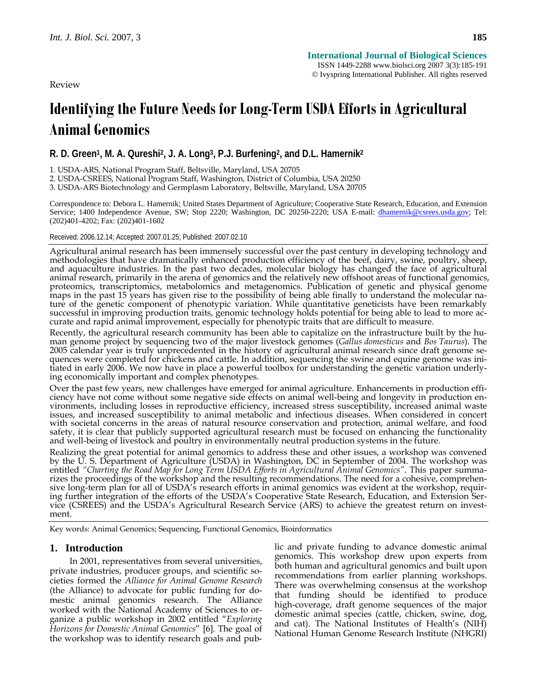Review

# **Identifying the Future Needs for Long-Term USDA Efforts in Agricultural Animal Genomics**

**R. D. Green1, M. A. Qureshi2, J. A. Long3, P.J. Burfening2, and D.L. Hamernik2**

1. USDA-ARS, National Program Staff, Beltsville, Maryland, USA 20705

2. USDA-CSREES, National Program Staff, Washington, District of Columbia, USA 20250

3. USDA-ARS Biotechnology and Germplasm Laboratory, Beltsville, Maryland, USA 20705

Correspondence to: Debora L. Hamernik; United States Department of Agriculture; Cooperative State Research, Education, and Extension Service; 1400 Independence Avenue, SW; Stop 2220; Washington, DC 20250-2220; USA E-mail: dhamernik@csrees.usda.gov; Tel: (202)401-4202; Fax: (202)401-1602

Received: 2006.12.14; Accepted: 2007.01.25; Published: 2007.02.10

Agricultural animal research has been immensely successful over the past century in developing technology and<br>methodologies that have dramatically enhanced production efficiency of the beef, dairy, swine, poultry, sheep,<br>a animal research, primarily in the arena of genomics and the relatively new offshoot areas of functional genomics, proteomics, transcriptomics, metabolomics and metagenomics. Publication of genetic and physical genome maps in the past 15 years has given rise to the possibility of being able finally to understand the molecular nature of successful in improving production traits, genomic technology holds potential for being able to lead to more ac-<br>curate and rapid animal improvement, especially for phenotypic traits that are difficult to measure.

Recently, the agricultural research community has been able to capitalize on the infrastructure built by the hu-<br>man genome project by sequencing two of the major livestock genomes (Gallus domesticus and Bos Taurus). The 2005 calendar year is truly unprecedented in the history of agricultural animal research since draft genome se-<br>quences were completed for chickens and cattle. In addition, sequencing the swine and equine genome was initiated in early 2006. We now have in place a powerful toolbox for understanding the genetic variation underly-<br>ing economically important and complex phenotypes.

Over the past few years, new challenges have emerged for animal agriculture. Enhancements in production efficiency have not come without some negative side effects on animal well-being and longevity in production environments, including losses in reproductive efficiency, increased stress susceptibility, increased animal waste is with societal concerns in the areas of natural resource conservation and protection, animal welfare, and food safety, it is clear that publicly supported agricultural research must be focused on enhancing the functionality and well-being of livestock and poultry in environmentally neutral production systems in the future.

Realizing the great potential for animal genomics to address these and other issues, a workshop was convened<br>by the U. S. Department of Agriculture (USDA) in Washington, DC in September of 2004. The workshop was entitled *"Charting the Road Map for Long Term USDA Efforts in Agricultural Animal Genomics"*. This paper summarizes the proceedings of the workshop and the resulting recommendations. The need for a cohesive, comprehen- sive long-term plan for all of USDA's research efforts in animal genomics was evident at the workshop, requiring further integration of the efforts of the USDA's Cooperative State Research, Education, and Extension Service (CSREES) and the USDA's Agricultural Research Service (ARS) to achieve the greatest return on investment.

Key words: Animal Genomics; Sequencing, Functional Genomics, Bioinformatics

## **1. Introduction**

In 2001, representatives from several universities, private industries, producer groups, and scientific societies formed the *Alliance for Animal Genome Research*  (the Alliance) to advocate for public funding for domestic animal genomics research. The Alliance worked with the National Academy of Sciences to organize a public workshop in 2002 entitled "*Exploring Horizons for Domestic Animal Genomics*" [6]. The goal of the workshop was to identify research goals and public and private funding to advance domestic animal genomics. This workshop drew upon experts from both human and agricultural genomics and built upon recommendations from earlier planning workshops. There was overwhelming consensus at the workshop that funding should be identified to produce high-coverage, draft genome sequences of the major domestic animal species (cattle, chicken, swine, dog, and cat). The National Institutes of Health's (NIH) National Human Genome Research Institute (NHGRI)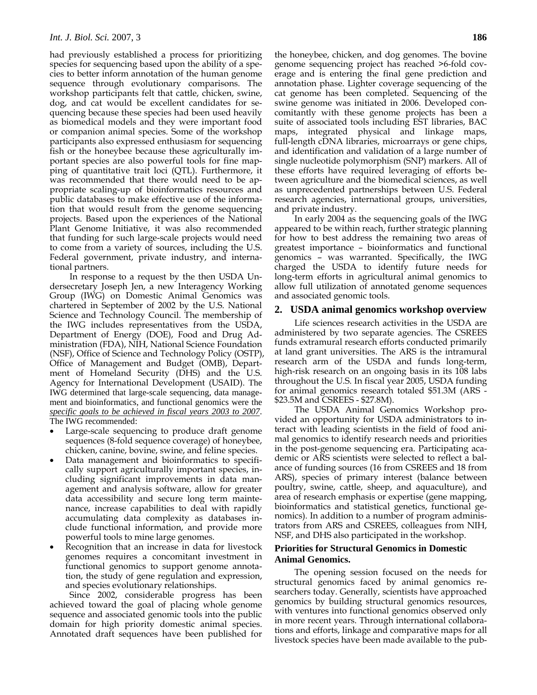had previously established a process for prioritizing species for sequencing based upon the ability of a species to better inform annotation of the human genome sequence through evolutionary comparisons. The workshop participants felt that cattle, chicken, swine, dog, and cat would be excellent candidates for sequencing because these species had been used heavily as biomedical models and they were important food or companion animal species. Some of the workshop participants also expressed enthusiasm for sequencing fish or the honeybee because these agriculturally important species are also powerful tools for fine mapping of quantitative trait loci (QTL). Furthermore, it was recommended that there would need to be appropriate scaling-up of bioinformatics resources and public databases to make effective use of the information that would result from the genome sequencing projects. Based upon the experiences of the National Plant Genome Initiative, it was also recommended that funding for such large-scale projects would need to come from a variety of sources, including the U.S. Federal government, private industry, and international partners.

In response to a request by the then USDA Undersecretary Joseph Jen, a new Interagency Working Group (IWG) on Domestic Animal Genomics was chartered in September of 2002 by the U.S. National Science and Technology Council. The membership of the IWG includes representatives from the USDA, Department of Energy (DOE), Food and Drug Administration (FDA), NIH, National Science Foundation (NSF), Office of Science and Technology Policy (OSTP), Office of Management and Budget (OMB), Department of Homeland Security (DHS) and the U.S. Agency for International Development (USAID). The IWG determined that large-scale sequencing, data management and bioinformatics, and functional genomics were the *specific goals to be achieved in fiscal years 2003 to 2007*. The IWG recommended:

- Large-scale sequencing to produce draft genome sequences (8-fold sequence coverage) of honeybee, chicken, canine, bovine, swine, and feline species.
- Data management and bioinformatics to specifically support agriculturally important species, including significant improvements in data management and analysis software, allow for greater data accessibility and secure long term maintenance, increase capabilities to deal with rapidly accumulating data complexity as databases include functional information, and provide more powerful tools to mine large genomes.
- Recognition that an increase in data for livestock genomes requires a concomitant investment in functional genomics to support genome annotation, the study of gene regulation and expression, and species evolutionary relationships.

Since 2002, considerable progress has been achieved toward the goal of placing whole genome sequence and associated genomic tools into the public domain for high priority domestic animal species. Annotated draft sequences have been published for

the honeybee, chicken, and dog genomes. The bovine genome sequencing project has reached >6-fold coverage and is entering the final gene prediction and annotation phase. Lighter coverage sequencing of the cat genome has been completed. Sequencing of the swine genome was initiated in 2006. Developed concomitantly with these genome projects has been a suite of associated tools including EST libraries, BAC maps, integrated physical and linkage maps, full-length cDNA libraries, microarrays or gene chips, and identification and validation of a large number of single nucleotide polymorphism (SNP) markers. All of these efforts have required leveraging of efforts between agriculture and the biomedical sciences, as well as unprecedented partnerships between U.S. Federal research agencies, international groups, universities, and private industry.

In early 2004 as the sequencing goals of the IWG appeared to be within reach, further strategic planning for how to best address the remaining two areas of greatest importance – bioinformatics and functional genomics – was warranted. Specifically, the IWG charged the USDA to identify future needs for long-term efforts in agricultural animal genomics to allow full utilization of annotated genome sequences and associated genomic tools.

#### **2. USDA animal genomics workshop overview**

Life sciences research activities in the USDA are administered by two separate agencies. The CSREES funds extramural research efforts conducted primarily at land grant universities. The ARS is the intramural research arm of the USDA and funds long-term, high-risk research on an ongoing basis in its 108 labs throughout the U.S. In fiscal year 2005, USDA funding for animal genomics research totaled \$51.3M (ARS - \$23.5M and CSREES - \$27.8M).

The USDA Animal Genomics Workshop provided an opportunity for USDA administrators to interact with leading scientists in the field of food animal genomics to identify research needs and priorities in the post-genome sequencing era. Participating academic or ARS scientists were selected to reflect a balance of funding sources (16 from CSREES and 18 from ARS), species of primary interest (balance between poultry, swine, cattle, sheep, and aquaculture), and area of research emphasis or expertise (gene mapping, bioinformatics and statistical genetics, functional genomics). In addition to a number of program administrators from ARS and CSREES, colleagues from NIH, NSF, and DHS also participated in the workshop.

## **Priorities for Structural Genomics in Domestic Animal Genomics.**

The opening session focused on the needs for structural genomics faced by animal genomics researchers today. Generally, scientists have approached genomics by building structural genomics resources, with ventures into functional genomics observed only in more recent years. Through international collaborations and efforts, linkage and comparative maps for all livestock species have been made available to the pub-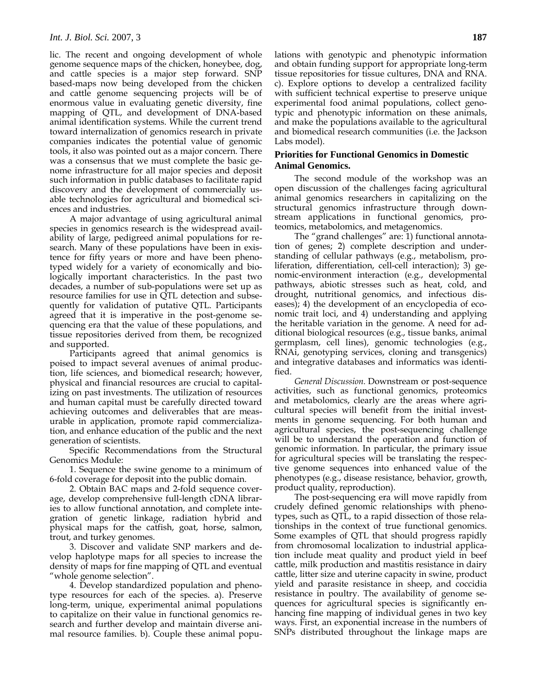lic. The recent and ongoing development of whole genome sequence maps of the chicken, honeybee, dog, and cattle species is a major step forward. SNP based-maps now being developed from the chicken and cattle genome sequencing projects will be of enormous value in evaluating genetic diversity, fine mapping of QTL, and development of DNA-based animal identification systems. While the current trend toward internalization of genomics research in private companies indicates the potential value of genomic tools, it also was pointed out as a major concern. There was a consensus that we must complete the basic genome infrastructure for all major species and deposit such information in public databases to facilitate rapid discovery and the development of commercially usable technologies for agricultural and biomedical sciences and industries.

A major advantage of using agricultural animal species in genomics research is the widespread availability of large, pedigreed animal populations for research. Many of these populations have been in existence for fifty years or more and have been phenotyped widely for a variety of economically and biologically important characteristics. In the past two decades, a number of sub-populations were set up as resource families for use in QTL detection and subsequently for validation of putative QTL. Participants agreed that it is imperative in the post-genome sequencing era that the value of these populations, and tissue repositories derived from them, be recognized and supported.

Participants agreed that animal genomics is poised to impact several avenues of animal production, life sciences, and biomedical research; however, physical and financial resources are crucial to capitalizing on past investments. The utilization of resources and human capital must be carefully directed toward achieving outcomes and deliverables that are measurable in application, promote rapid commercialization, and enhance education of the public and the next generation of scientists.

Specific Recommendations from the Structural Genomics Module:

1. Sequence the swine genome to a minimum of 6-fold coverage for deposit into the public domain.

2. Obtain BAC maps and 2-fold sequence coverage, develop comprehensive full-length cDNA libraries to allow functional annotation, and complete integration of genetic linkage, radiation hybrid and physical maps for the catfish, goat, horse, salmon, trout, and turkey genomes.

3. Discover and validate SNP markers and develop haplotype maps for all species to increase the density of maps for fine mapping of QTL and eventual "whole genome selection".

4. Develop standardized population and phenotype resources for each of the species. a). Preserve long-term, unique, experimental animal populations to capitalize on their value in functional genomics research and further develop and maintain diverse animal resource families. b). Couple these animal populations with genotypic and phenotypic information and obtain funding support for appropriate long-term tissue repositories for tissue cultures, DNA and RNA. c). Explore options to develop a centralized facility with sufficient technical expertise to preserve unique experimental food animal populations, collect genotypic and phenotypic information on these animals, and make the populations available to the agricultural and biomedical research communities (i.e. the Jackson Labs model).

## **Priorities for Functional Genomics in Domestic Animal Genomics.**

The second module of the workshop was an open discussion of the challenges facing agricultural animal genomics researchers in capitalizing on the structural genomics infrastructure through downstream applications in functional genomics, proteomics, metabolomics, and metagenomics.

The "grand challenges" are: 1) functional annotation of genes; 2) complete description and understanding of cellular pathways (e.g., metabolism, proliferation, differentiation, cell-cell interaction); 3) genomic-environment interaction (e.g., developmental pathways, abiotic stresses such as heat, cold, and drought, nutritional genomics, and infectious diseases); 4) the development of an encyclopedia of economic trait loci, and 4) understanding and applying the heritable variation in the genome. A need for additional biological resources (e.g., tissue banks, animal germplasm, cell lines), genomic technologies (e.g., RNAi, genotyping services, cloning and transgenics) and integrative databases and informatics was identified.

*General Discussion.* Downstream or post-sequence activities, such as functional genomics, proteomics and metabolomics, clearly are the areas where agricultural species will benefit from the initial investments in genome sequencing. For both human and agricultural species, the post-sequencing challenge will be to understand the operation and function of genomic information. In particular, the primary issue for agricultural species will be translating the respective genome sequences into enhanced value of the phenotypes (e.g., disease resistance, behavior, growth, product quality, reproduction).

The post-sequencing era will move rapidly from crudely defined genomic relationships with phenotypes, such as QTL, to a rapid dissection of those relationships in the context of true functional genomics. Some examples of QTL that should progress rapidly from chromosomal localization to industrial application include meat quality and product yield in beef cattle, milk production and mastitis resistance in dairy cattle, litter size and uterine capacity in swine, product yield and parasite resistance in sheep, and coccidia resistance in poultry. The availability of genome sequences for agricultural species is significantly enhancing fine mapping of individual genes in two key ways. First, an exponential increase in the numbers of SNPs distributed throughout the linkage maps are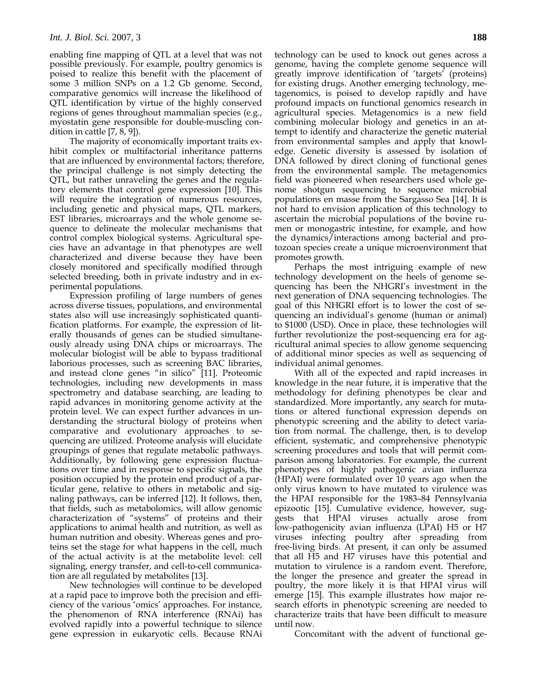enabling fine mapping of QTL at a level that was not possible previously. For example, poultry genomics is poised to realize this benefit with the placement of some 3 million SNPs on a 1.2 Gb genome. Second, comparative genomics will increase the likelihood of QTL identification by virtue of the highly conserved regions of genes throughout mammalian species (e.g., myostatin gene responsible for double-muscling condition in cattle [7, 8, 9]).

The majority of economically important traits exhibit complex or multifactorial inheritance patterns that are influenced by environmental factors; therefore, the principal challenge is not simply detecting the QTL, but rather unraveling the genes and the regulatory elements that control gene expression [10]. This will require the integration of numerous resources, including genetic and physical maps, QTL markers, EST libraries, microarrays and the whole genome sequence to delineate the molecular mechanisms that control complex biological systems. Agricultural species have an advantage in that phenotypes are well characterized and diverse because they have been closely monitored and specifically modified through selected breeding, both in private industry and in experimental populations.

Expression profiling of large numbers of genes across diverse tissues, populations, and environmental states also will use increasingly sophisticated quantification platforms. For example, the expression of literally thousands of genes can be studied simultaneously already using DNA chips or microarrays. The molecular biologist will be able to bypass traditional laborious processes, such as screening BAC libraries, and instead clone genes "in silico" [11]. Proteomic technologies, including new developments in mass spectrometry and database searching, are leading to rapid advances in monitoring genome activity at the protein level. We can expect further advances in understanding the structural biology of proteins when comparative and evolutionary approaches to sequencing are utilized. Proteome analysis will elucidate groupings of genes that regulate metabolic pathways. Additionally, by following gene expression fluctuations over time and in response to specific signals, the position occupied by the protein end product of a particular gene, relative to others in metabolic and signaling pathways, can be inferred [12]. It follows, then, that fields, such as metabolomics, will allow genomic characterization of "systems" of proteins and their applications to animal health and nutrition, as well as human nutrition and obesity. Whereas genes and proteins set the stage for what happens in the cell, much of the actual activity is at the metabolite level: cell signaling, energy transfer, and cell-to-cell communication are all regulated by metabolites [13].

New technologies will continue to be developed at a rapid pace to improve both the precision and efficiency of the various 'omics' approaches. For instance, the phenomenon of RNA interference (RNAi) has evolved rapidly into a powerful technique to silence gene expression in eukaryotic cells. Because RNAi technology can be used to knock out genes across a genome, having the complete genome sequence will greatly improve identification of 'targets' (proteins) for existing drugs. Another emerging technology, metagenomics, is poised to develop rapidly and have profound impacts on functional genomics research in agricultural species. Metagenomics is a new field combining molecular biology and genetics in an attempt to identify and characterize the genetic material from environmental samples and apply that knowledge. Genetic diversity is assessed by isolation of DNA followed by direct cloning of functional genes from the environmental sample. The metagenomics field was pioneered when researchers used whole genome shotgun sequencing to sequence microbial populations en masse from the Sargasso Sea [14]. It is not hard to envision application of this technology to ascertain the microbial populations of the bovine rumen or monogastric intestine, for example, and how the dynamics/interactions among bacterial and protozoan species create a unique microenvironment that promotes growth.

Perhaps the most intriguing example of new technology development on the heels of genome sequencing has been the NHGRI's investment in the next generation of DNA sequencing technologies. The goal of this NHGRI effort is to lower the cost of sequencing an individual's genome (human or animal) to \$1000 (USD). Once in place, these technologies will further revolutionize the post-sequencing era for agricultural animal species to allow genome sequencing of additional minor species as well as sequencing of individual animal genomes.

With all of the expected and rapid increases in knowledge in the near future, it is imperative that the methodology for defining phenotypes be clear and standardized. More importantly, any search for mutations or altered functional expression depends on phenotypic screening and the ability to detect variation from normal. The challenge, then, is to develop efficient, systematic, and comprehensive phenotypic screening procedures and tools that will permit comparison among laboratories. For example, the current phenotypes of highly pathogenic avian influenza (HPAI) were formulated over 10 years ago when the only virus known to have mutated to virulence was the HPAI responsible for the 1983–84 Pennsylvania epizootic [15]. Cumulative evidence, however, suggests that HPAI viruses actually arose from low-pathogenicity avian influenza (LPAI) H5 or H7 viruses infecting poultry after spreading from free-living birds. At present, it can only be assumed that all H5 and H7 viruses have this potential and mutation to virulence is a random event. Therefore, the longer the presence and greater the spread in poultry, the more likely it is that HPAI virus will emerge [15]. This example illustrates how major research efforts in phenotypic screening are needed to characterize traits that have been difficult to measure until now.

Concomitant with the advent of functional ge-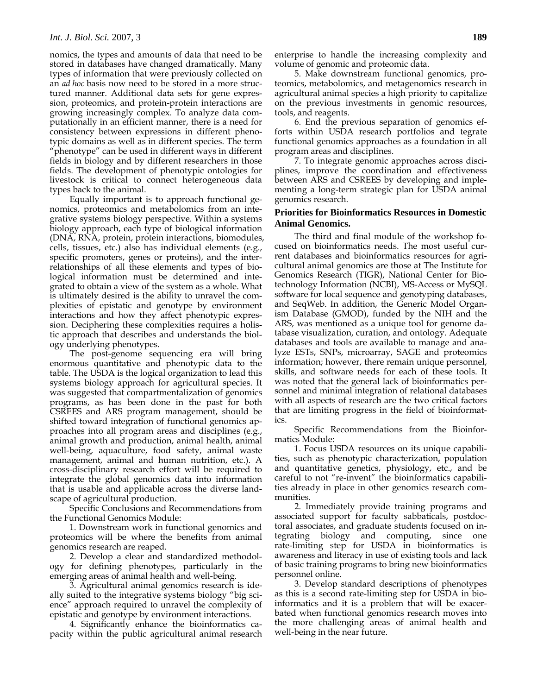nomics, the types and amounts of data that need to be stored in databases have changed dramatically. Many types of information that were previously collected on an *ad hoc* basis now need to be stored in a more structured manner. Additional data sets for gene expression, proteomics, and protein-protein interactions are growing increasingly complex. To analyze data computationally in an efficient manner, there is a need for consistency between expressions in different phenotypic domains as well as in different species. The term "phenotype" can be used in different ways in different fields in biology and by different researchers in those fields. The development of phenotypic ontologies for livestock is critical to connect heterogeneous data types back to the animal.

Equally important is to approach functional genomics, proteomics and metabolomics from an integrative systems biology perspective. Within a systems biology approach, each type of biological information (DNA, RNA, protein, protein interactions, biomodules, cells, tissues, etc.) also has individual elements (e.g., specific promoters, genes or proteins), and the interrelationships of all these elements and types of biological information must be determined and integrated to obtain a view of the system as a whole. What is ultimately desired is the ability to unravel the complexities of epistatic and genotype by environment interactions and how they affect phenotypic expression. Deciphering these complexities requires a holistic approach that describes and understands the biology underlying phenotypes.

The post-genome sequencing era will bring enormous quantitative and phenotypic data to the table. The USDA is the logical organization to lead this systems biology approach for agricultural species. It was suggested that compartmentalization of genomics programs, as has been done in the past for both CSREES and ARS program management, should be shifted toward integration of functional genomics approaches into all program areas and disciplines (e.g., animal growth and production, animal health, animal well-being, aquaculture, food safety, animal waste management, animal and human nutrition, etc.). A cross-disciplinary research effort will be required to integrate the global genomics data into information that is usable and applicable across the diverse landscape of agricultural production.

Specific Conclusions and Recommendations from the Functional Genomics Module:

1. Downstream work in functional genomics and proteomics will be where the benefits from animal genomics research are reaped.

2. Develop a clear and standardized methodology for defining phenotypes, particularly in the emerging areas of animal health and well-being.

3. Agricultural animal genomics research is ideally suited to the integrative systems biology "big science" approach required to unravel the complexity of epistatic and genotype by environment interactions.

4. Significantly enhance the bioinformatics capacity within the public agricultural animal research enterprise to handle the increasing complexity and volume of genomic and proteomic data.

5. Make downstream functional genomics, proteomics, metabolomics, and metagenomics research in agricultural animal species a high priority to capitalize on the previous investments in genomic resources, tools, and reagents.

6. End the previous separation of genomics efforts within USDA research portfolios and tegrate functional genomics approaches as a foundation in all program areas and disciplines.

7. To integrate genomic approaches across disciplines, improve the coordination and effectiveness between ARS and CSREES by developing and implementing a long-term strategic plan for USDA animal genomics research.

## **Priorities for Bioinformatics Resources in Domestic Animal Genomics.**

The third and final module of the workshop focused on bioinformatics needs. The most useful current databases and bioinformatics resources for agricultural animal genomics are those at The Institute for Genomics Research (TIGR), National Center for Biotechnology Information (NCBI), MS-Access or MySQL software for local sequence and genotyping databases, and SeqWeb. In addition, the Generic Model Organism Database (GMOD), funded by the NIH and the ARS, was mentioned as a unique tool for genome database visualization, curation, and ontology. Adequate databases and tools are available to manage and analyze ESTs, SNPs, microarray, SAGE and proteomics information; however, there remain unique personnel, skills, and software needs for each of these tools. It was noted that the general lack of bioinformatics personnel and minimal integration of relational databases with all aspects of research are the two critical factors that are limiting progress in the field of bioinformatics.

Specific Recommendations from the Bioinformatics Module:

1. Focus USDA resources on its unique capabilities, such as phenotypic characterization, population and quantitative genetics, physiology, etc., and be careful to not "re-invent" the bioinformatics capabilities already in place in other genomics research communities.

2. Immediately provide training programs and associated support for faculty sabbaticals, postdoctoral associates, and graduate students focused on integrating biology and computing, since one rate-limiting step for USDA in bioinformatics is awareness and literacy in use of existing tools and lack of basic training programs to bring new bioinformatics personnel online.

3. Develop standard descriptions of phenotypes as this is a second rate-limiting step for USDA in bioinformatics and it is a problem that will be exacerbated when functional genomics research moves into the more challenging areas of animal health and well-being in the near future.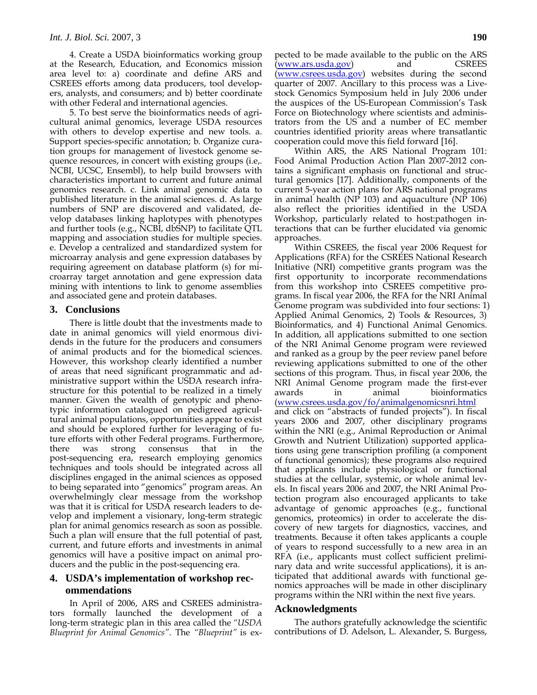4. Create a USDA bioinformatics working group at the Research, Education, and Economics mission area level to: a) coordinate and define ARS and CSREES efforts among data producers, tool developers, analysts, and consumers; and b) better coordinate with other Federal and international agencies.

5. To best serve the bioinformatics needs of agricultural animal genomics, leverage USDA resources with others to develop expertise and new tools. a. Support species-specific annotation; b. Organize curation groups for management of livestock genome sequence resources, in concert with existing groups (i.e,. NCBI, UCSC, Ensembl), to help build browsers with characteristics important to current and future animal genomics research. c. Link animal genomic data to published literature in the animal sciences. d. As large numbers of SNP are discovered and validated, develop databases linking haplotypes with phenotypes and further tools (e.g., NCBI, dbSNP) to facilitate QTL mapping and association studies for multiple species. e. Develop a centralized and standardized system for microarray analysis and gene expression databases by requiring agreement on database platform (s) for microarray target annotation and gene expression data mining with intentions to link to genome assemblies and associated gene and protein databases.

#### **3. Conclusions**

There is little doubt that the investments made to date in animal genomics will yield enormous dividends in the future for the producers and consumers of animal products and for the biomedical sciences. However, this workshop clearly identified a number of areas that need significant programmatic and administrative support within the USDA research infrastructure for this potential to be realized in a timely manner. Given the wealth of genotypic and phenotypic information catalogued on pedigreed agricultural animal populations, opportunities appear to exist and should be explored further for leveraging of future efforts with other Federal programs. Furthermore, there was strong consensus that in the there was strong consensus that in the post-sequencing era, research employing genomics techniques and tools should be integrated across all disciplines engaged in the animal sciences as opposed to being separated into "genomics" program areas. An overwhelmingly clear message from the workshop was that it is critical for USDA research leaders to develop and implement a visionary, long-term strategic plan for animal genomics research as soon as possible. Such a plan will ensure that the full potential of past, current, and future efforts and investments in animal genomics will have a positive impact on animal producers and the public in the post-sequencing era.

## **4. USDA's implementation of workshop recommendations**

In April of 2006, ARS and CSREES administrators formally launched the development of a long-term strategic plan in this area called the *"USDA Blueprint for Animal Genomics"*. The *"Blueprint"* is expected to be made available to the public on the ARS (www.ars.usda.gov) and CSREES (www.csrees.usda.gov) websites during the second quarter of 2007. Ancillary to this process was a Livestock Genomics Symposium held in July 2006 under the auspices of the US-European Commission's Task Force on Biotechnology where scientists and administrators from the US and a number of EC member countries identified priority areas where transatlantic cooperation could move this field forward [16].

Within ARS, the ARS National Program 101: Food Animal Production Action Plan 2007-2012 contains a significant emphasis on functional and structural genomics [17]. Additionally, components of the current 5-year action plans for ARS national programs in animal health (NP 103) and aquaculture (NP 106) also reflect the priorities identified in the USDA Workshop, particularly related to host:pathogen interactions that can be further elucidated via genomic approaches.

Within CSREES, the fiscal year 2006 Request for Applications (RFA) for the CSREES National Research Initiative (NRI) competitive grants program was the first opportunity to incorporate recommendations from this workshop into CSREES competitive programs. In fiscal year 2006, the RFA for the NRI Animal Genome program was subdivided into four sections: 1) Applied Animal Genomics, 2) Tools & Resources, 3) Bioinformatics, and 4) Functional Animal Genomics. In addition, all applications submitted to one section of the NRI Animal Genome program were reviewed and ranked as a group by the peer review panel before reviewing applications submitted to one of the other sections of this program. Thus, in fiscal year 2006, the NRI Animal Genome program made the first-ever awards in animal bioinformatics (www.csrees.usda.gov/fo/animalgenomicsnri.html and click on "abstracts of funded projects"). In fiscal years 2006 and 2007, other disciplinary programs within the NRI (e.g., Animal Reproduction or Animal Growth and Nutrient Utilization) supported applications using gene transcription profiling (a component of functional genomics); these programs also required that applicants include physiological or functional studies at the cellular, systemic, or whole animal levels. In fiscal years 2006 and 2007, the NRI Animal Protection program also encouraged applicants to take advantage of genomic approaches (e.g., functional genomics, proteomics) in order to accelerate the discovery of new targets for diagnostics, vaccines, and treatments. Because it often takes applicants a couple of years to respond successfully to a new area in an RFA (i.e., applicants must collect sufficient preliminary data and write successful applications), it is anticipated that additional awards with functional genomics approaches will be made in other disciplinary programs within the NRI within the next five years.

#### **Acknowledgments**

The authors gratefully acknowledge the scientific contributions of D. Adelson, L. Alexander, S. Burgess,